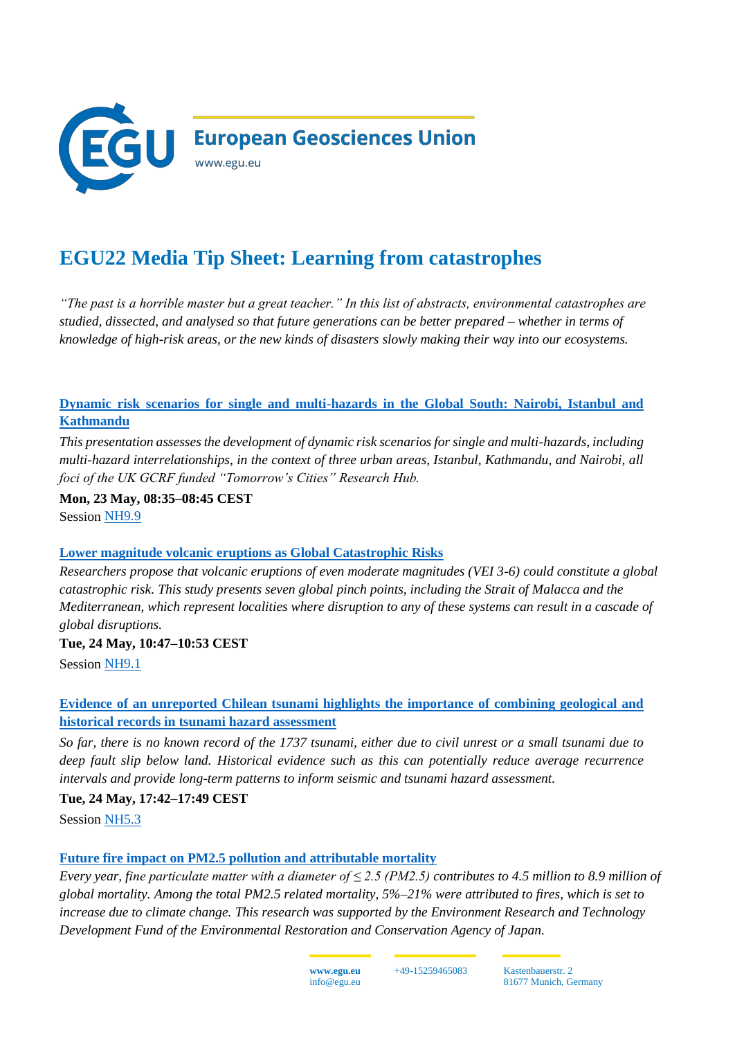

# **EGU22 Media Tip Sheet: Learning from catastrophes**

*"The past is a horrible master but a great teacher." In this list of abstracts, environmental catastrophes are studied, dissected, and analysed so that future generations can be better prepared – whether in terms of knowledge of high-risk areas, or the new kinds of disasters slowly making their way into our ecosystems.* 

## **[Dynamic risk scenarios for single and multi-hazards in the Global South: Nairobi, Istanbul and](https://meetingorganizer.copernicus.org/EGU22/EGU22-10366.html)  [Kathmandu](https://meetingorganizer.copernicus.org/EGU22/EGU22-10366.html)**

*This presentation assesses the development of dynamic risk scenarios for single and multi-hazards, including multi-hazard interrelationships, in the context of three urban areas, Istanbul, Kathmandu, and Nairobi, all foci of the UK GCRF funded "Tomorrow's Cities" Research Hub.*

**Mon, 23 May, 08:35–08:45 CEST** Session NH9.9

## **[Lower magnitude volcanic eruptions as Global Catastrophic Risks](https://meetingorganizer.copernicus.org/EGU22/EGU22-2338.html)**

*Researchers propose that volcanic eruptions of even moderate magnitudes (VEI 3-6) could constitute a global catastrophic risk. This study presents seven global pinch points, including the Strait of Malacca and the Mediterranean, which represent localities where disruption to any of these systems can result in a cascade of global disruptions.*

## **Tue, 24 May, 10:47–10:53 CEST**

Session [NH9.1](https://meetingorganizer.copernicus.org/EGU22/session/43116)

# **[Evidence of an unreported Chilean tsunami highlights the importance of combining geological and](https://meetingorganizer.copernicus.org/EGU22/EGU22-8768.html)  [historical records in tsunami hazard assessment](https://meetingorganizer.copernicus.org/EGU22/EGU22-8768.html)**

*So far, there is no known record of the 1737 tsunami, either due to civil unrest or a small tsunami due to deep fault slip below land. Historical evidence such as this can potentially reduce average recurrence intervals and provide long-term patterns to inform seismic and tsunami hazard assessment.*

**Tue, 24 May, 17:42–17:49 CEST**

Session [NH5.3](https://meetingorganizer.copernicus.org/EGU22/session/42863)

## **[Future fire impact on PM2.5 pollution and attributable mortality](https://meetingorganizer.copernicus.org/EGU22/EGU22-11223.html)**

*Every year, fine particulate matter with a diameter of ≤ 2.5 (PM2.5) contributes to 4.5 million to 8.9 million of global mortality. Among the total PM2.5 related mortality, 5%–21% were attributed to fires, which is set to increase due to climate change. This research was supported by the Environment Research and Technology Development Fund of the Environmental Restoration and Conservation Agency of Japan.*



+49-15259465083 Kastenbauerstr. 2